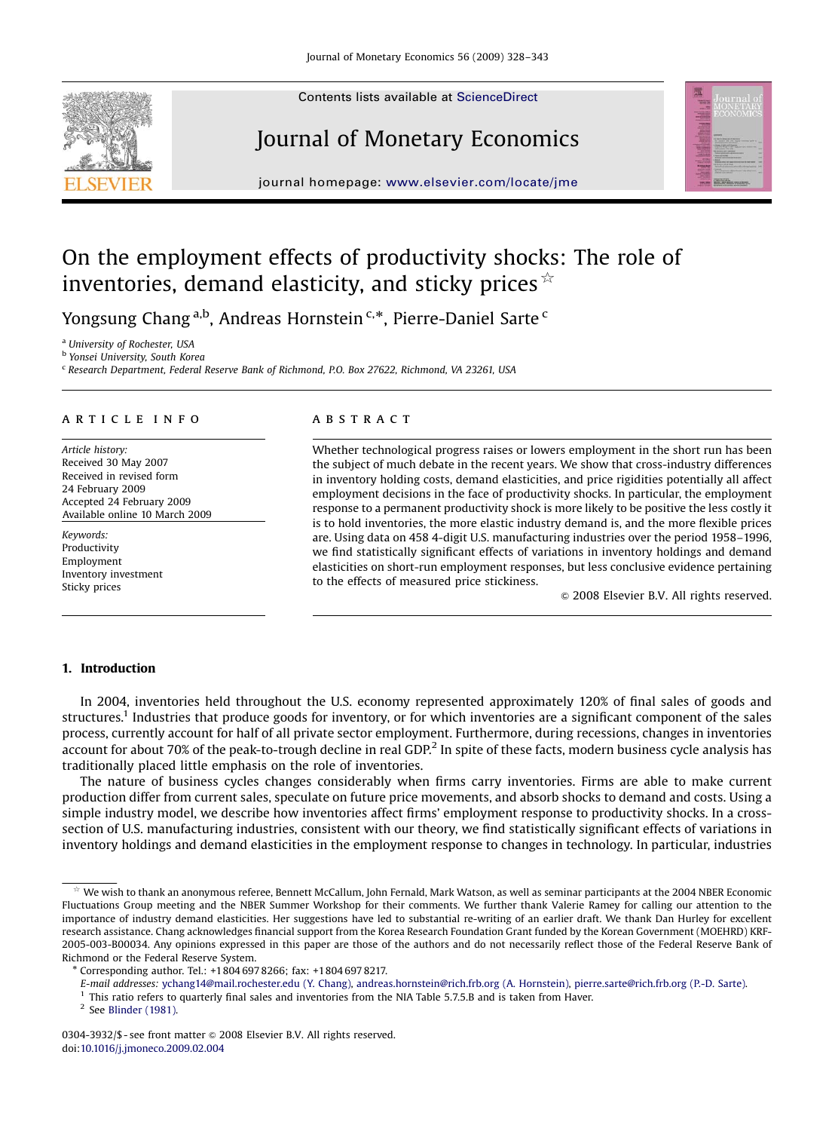Contents lists available at [ScienceDirect](www.sciencedirect.com/science/journal/monec)

## Journal of Monetary Economics



journal homepage: <www.elsevier.com/locate/jme>

### On the employment effects of productivity shocks: The role of inventories, demand elasticity, and sticky prices  $\dot{\mathbf{x}}$

Yongsung Chang<sup>a,b</sup>, Andreas Hornstein<sup>.c,\*</sup>, Pierre-Daniel Sarte<sup>.c</sup>

<sup>a</sup> University of Rochester, USA

**b** Yonsei University, South Korea

<sup>c</sup> Research Department, Federal Reserve Bank of Richmond, P.O. Box 27622, Richmond, VA 23261, USA

#### article info

Article history: Received 30 May 2007 Received in revised form 24 February 2009 Accepted 24 February 2009 Available online 10 March 2009

Keywords: Productivity Employment Inventory investment Sticky prices

#### **ABSTRACT**

Whether technological progress raises or lowers employment in the short run has been the subject of much debate in the recent years. We show that cross-industry differences in inventory holding costs, demand elasticities, and price rigidities potentially all affect employment decisions in the face of productivity shocks. In particular, the employment response to a permanent productivity shock is more likely to be positive the less costly it is to hold inventories, the more elastic industry demand is, and the more flexible prices are. Using data on 458 4-digit U.S. manufacturing industries over the period 1958–1996, we find statistically significant effects of variations in inventory holdings and demand elasticities on short-run employment responses, but less conclusive evidence pertaining to the effects of measured price stickiness.

 $\odot$  2008 Elsevier B.V. All rights reserved.

#### 1. Introduction

In 2004, inventories held throughout the U.S. economy represented approximately 120% of final sales of goods and structures.<sup>1</sup> Industries that produce goods for inventory, or for which inventories are a significant component of the sales process, currently account for half of all private sector employment. Furthermore, during recessions, changes in inventories account for about 70% of the peak-to-trough decline in real GDP.<sup>2</sup> In spite of these facts, modern business cycle analysis has traditionally placed little emphasis on the role of inventories.

The nature of business cycles changes considerably when firms carry inventories. Firms are able to make current production differ from current sales, speculate on future price movements, and absorb shocks to demand and costs. Using a simple industry model, we describe how inventories affect firms' employment response to productivity shocks. In a crosssection of U.S. manufacturing industries, consistent with our theory, we find statistically significant effects of variations in inventory holdings and demand elasticities in the employment response to changes in technology. In particular, industries

E-mail addresses: [ychang14@mail.rochester.edu \(Y. Chang\),](mailto:ychang14@mail.rochester.edu) [andreas.hornstein@rich.frb.org \(A. Hornstein\),](mailto:andreas.hornstein@rich.frb.org) [pierre.sarte@rich.frb.org \(P.-D. Sarte\).](mailto:pierre.sarte@rich.frb.org)

 $<sup>1</sup>$  This ratio refers to quarterly final sales and inventories from the NIA Table 5.7.5.B and is taken from Haver.</sup>

 $*$  We wish to thank an anonymous referee, Bennett McCallum, John Fernald, Mark Watson, as well as seminar participants at the 2004 NBER Economic Fluctuations Group meeting and the NBER Summer Workshop for their comments. We further thank Valerie Ramey for calling our attention to the importance of industry demand elasticities. Her suggestions have led to substantial re-writing of an earlier draft. We thank Dan Hurley for excellent research assistance. Chang acknowledges financial support from the Korea Research Foundation Grant funded by the Korean Government (MOEHRD) KRF-2005-003-B00034. Any opinions expressed in this paper are those of the authors and do not necessarily reflect those of the Federal Reserve Bank of Richmond or the Federal Reserve System.

Corresponding author. Tel.: +1804 697 8266; fax: +1804 697 8217.

<sup>2</sup> See [Blinder \(1981\)](#page--1-0).

<sup>0304-3932/\$ -</sup> see front matter  $\circ$  2008 Elsevier B.V. All rights reserved. doi:[10.1016/j.jmoneco.2009.02.004](dx.doi.org/10.1016/j.jmoneco.2009.02.004)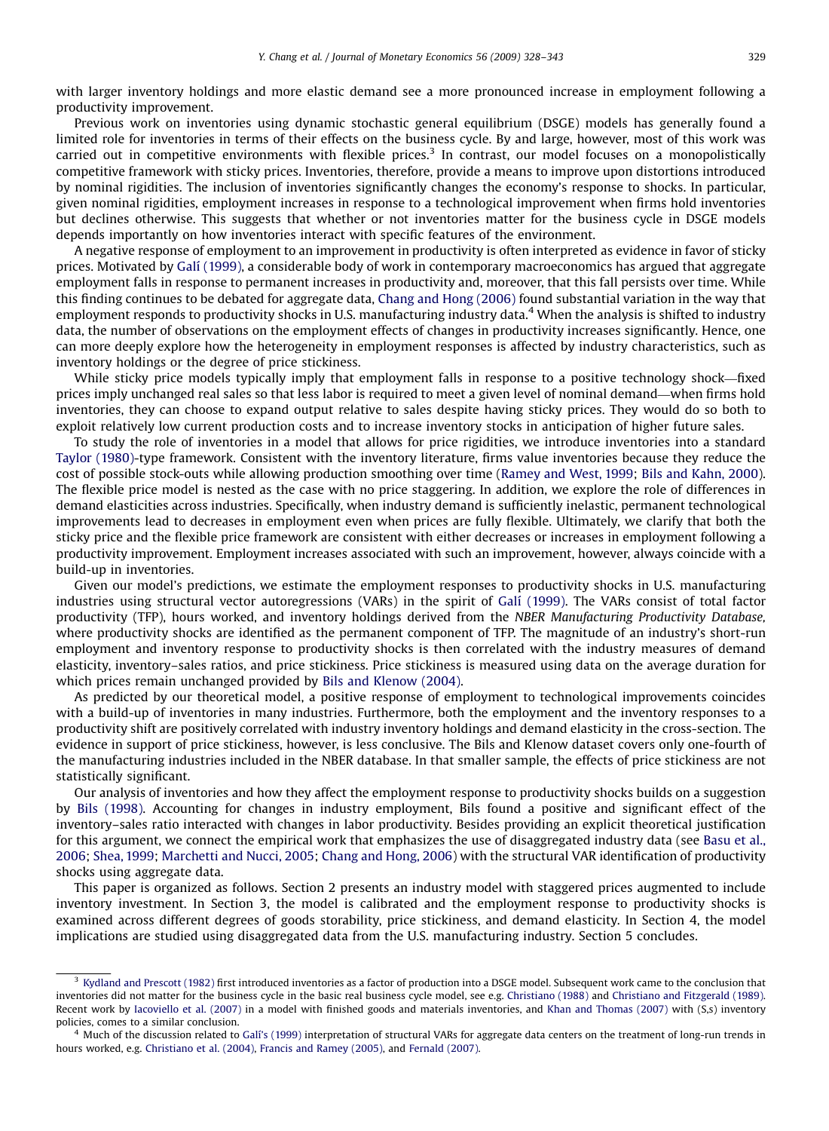with larger inventory holdings and more elastic demand see a more pronounced increase in employment following a productivity improvement.

Previous work on inventories using dynamic stochastic general equilibrium (DSGE) models has generally found a limited role for inventories in terms of their effects on the business cycle. By and large, however, most of this work was carried out in competitive environments with flexible prices.<sup>3</sup> In contrast, our model focuses on a monopolistically competitive framework with sticky prices. Inventories, therefore, provide a means to improve upon distortions introduced by nominal rigidities. The inclusion of inventories significantly changes the economy's response to shocks. In particular, given nominal rigidities, employment increases in response to a technological improvement when firms hold inventories but declines otherwise. This suggests that whether or not inventories matter for the business cycle in DSGE models depends importantly on how inventories interact with specific features of the environment.

A negative response of employment to an improvement in productivity is often interpreted as evidence in favor of sticky prices. Motivated by Galı´ [\(1999\),](#page--1-0) a considerable body of work in contemporary macroeconomics has argued that aggregate employment falls in response to permanent increases in productivity and, moreover, that this fall persists over time. While this finding continues to be debated for aggregate data, [Chang and Hong \(2006\)](#page--1-0) found substantial variation in the way that employment responds to productivity shocks in U.S. manufacturing industry data.<sup>4</sup> When the analysis is shifted to industry data, the number of observations on the employment effects of changes in productivity increases significantly. Hence, one can more deeply explore how the heterogeneity in employment responses is affected by industry characteristics, such as inventory holdings or the degree of price stickiness.

While sticky price models typically imply that employment falls in response to a positive technology shock—fixed prices imply unchanged real sales so that less labor is required to meet a given level of nominal demand—when firms hold inventories, they can choose to expand output relative to sales despite having sticky prices. They would do so both to exploit relatively low current production costs and to increase inventory stocks in anticipation of higher future sales.

To study the role of inventories in a model that allows for price rigidities, we introduce inventories into a standard [Taylor \(1980\)](#page--1-0)-type framework. Consistent with the inventory literature, firms value inventories because they reduce the cost of possible stock-outs while allowing production smoothing over time [\(Ramey and West, 1999](#page--1-0); [Bils and Kahn, 2000](#page--1-0)). The flexible price model is nested as the case with no price staggering. In addition, we explore the role of differences in demand elasticities across industries. Specifically, when industry demand is sufficiently inelastic, permanent technological improvements lead to decreases in employment even when prices are fully flexible. Ultimately, we clarify that both the sticky price and the flexible price framework are consistent with either decreases or increases in employment following a productivity improvement. Employment increases associated with such an improvement, however, always coincide with a build-up in inventories.

Given our model's predictions, we estimate the employment responses to productivity shocks in U.S. manufacturing industries using structural vector autoregressions (VARs) in the spirit of Galí [\(1999\)](#page--1-0). The VARs consist of total factor productivity (TFP), hours worked, and inventory holdings derived from the NBER Manufacturing Productivity Database, where productivity shocks are identified as the permanent component of TFP. The magnitude of an industry's short-run employment and inventory response to productivity shocks is then correlated with the industry measures of demand elasticity, inventory–sales ratios, and price stickiness. Price stickiness is measured using data on the average duration for which prices remain unchanged provided by [Bils and Klenow \(2004\).](#page--1-0)

As predicted by our theoretical model, a positive response of employment to technological improvements coincides with a build-up of inventories in many industries. Furthermore, both the employment and the inventory responses to a productivity shift are positively correlated with industry inventory holdings and demand elasticity in the cross-section. The evidence in support of price stickiness, however, is less conclusive. The Bils and Klenow dataset covers only one-fourth of the manufacturing industries included in the NBER database. In that smaller sample, the effects of price stickiness are not statistically significant.

Our analysis of inventories and how they affect the employment response to productivity shocks builds on a suggestion by [Bils \(1998\).](#page--1-0) Accounting for changes in industry employment, Bils found a positive and significant effect of the inventory–sales ratio interacted with changes in labor productivity. Besides providing an explicit theoretical justification for this argument, we connect the empirical work that emphasizes the use of disaggregated industry data (see [Basu et al.,](#page--1-0) [2006](#page--1-0); [Shea, 1999](#page--1-0); [Marchetti and Nucci, 2005](#page--1-0); [Chang and Hong, 2006](#page--1-0)) with the structural VAR identification of productivity shocks using aggregate data.

This paper is organized as follows. Section 2 presents an industry model with staggered prices augmented to include inventory investment. In Section 3, the model is calibrated and the employment response to productivity shocks is examined across different degrees of goods storability, price stickiness, and demand elasticity. In Section 4, the model implications are studied using disaggregated data from the U.S. manufacturing industry. Section 5 concludes.

<sup>&</sup>lt;sup>3</sup> [Kydland and Prescott \(1982\)](#page--1-0) first introduced inventories as a factor of production into a DSGE model. Subsequent work came to the conclusion that inventories did not matter for the business cycle in the basic real business cycle model, see e.g. [Christiano \(1988\)](#page--1-0) and [Christiano and Fitzgerald \(1989\).](#page--1-0) Recent work by [Iacoviello et al. \(2007\)](#page--1-0) in a model with finished goods and materials inventories, and [Khan and Thomas \(2007\)](#page--1-0) with (S,s) inventory policies, comes to a similar conclusion.

<sup>&</sup>lt;sup>4</sup> Much of the discussion related to Galí's (1999) interpretation of structural VARs for aggregate data centers on the treatment of long-run trends in hours worked, e.g. [Christiano et al. \(2004\)](#page--1-0), [Francis and Ramey \(2005\)](#page--1-0), and [Fernald \(2007\)](#page--1-0).